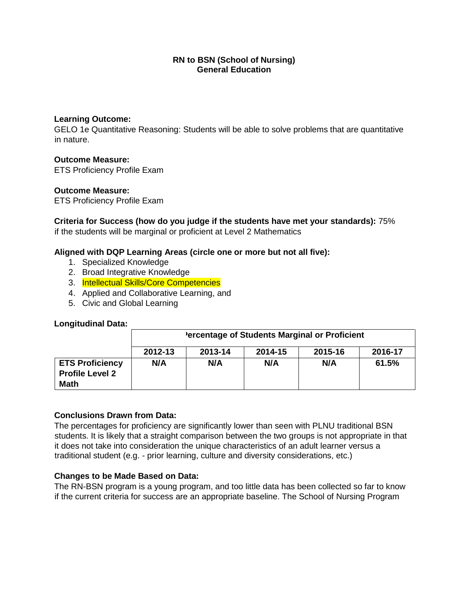## **RN to BSN (School of Nursing) General Education**

## **Learning Outcome:**

GELO 1e Quantitative Reasoning: Students will be able to solve problems that are quantitative in nature.

# **Outcome Measure:**

ETS Proficiency Profile Exam

## **Outcome Measure:**

ETS Proficiency Profile Exam

**Criteria for Success (how do you judge if the students have met your standards):** 75% if the students will be marginal or proficient at Level 2 Mathematics

## **Aligned with DQP Learning Areas (circle one or more but not all five):**

- 1. Specialized Knowledge
- 2. Broad Integrative Knowledge
- 3. Intellectual Skills/Core Competencies
- 4. Applied and Collaborative Learning, and
- 5. Civic and Global Learning

#### **Longitudinal Data:**

|                                                                 | 'ercentage of Students Marginal or Proficient |         |         |         |         |
|-----------------------------------------------------------------|-----------------------------------------------|---------|---------|---------|---------|
|                                                                 | 2012-13                                       | 2013-14 | 2014-15 | 2015-16 | 2016-17 |
| <b>ETS Proficiency</b><br><b>Profile Level 2</b><br><b>Math</b> | N/A                                           | N/A     | N/A     | N/A     | 61.5%   |

#### **Conclusions Drawn from Data:**

The percentages for proficiency are significantly lower than seen with PLNU traditional BSN students. It is likely that a straight comparison between the two groups is not appropriate in that it does not take into consideration the unique characteristics of an adult learner versus a traditional student (e.g. - prior learning, culture and diversity considerations, etc.)

#### **Changes to be Made Based on Data:**

The RN-BSN program is a young program, and too little data has been collected so far to know if the current criteria for success are an appropriate baseline. The School of Nursing Program